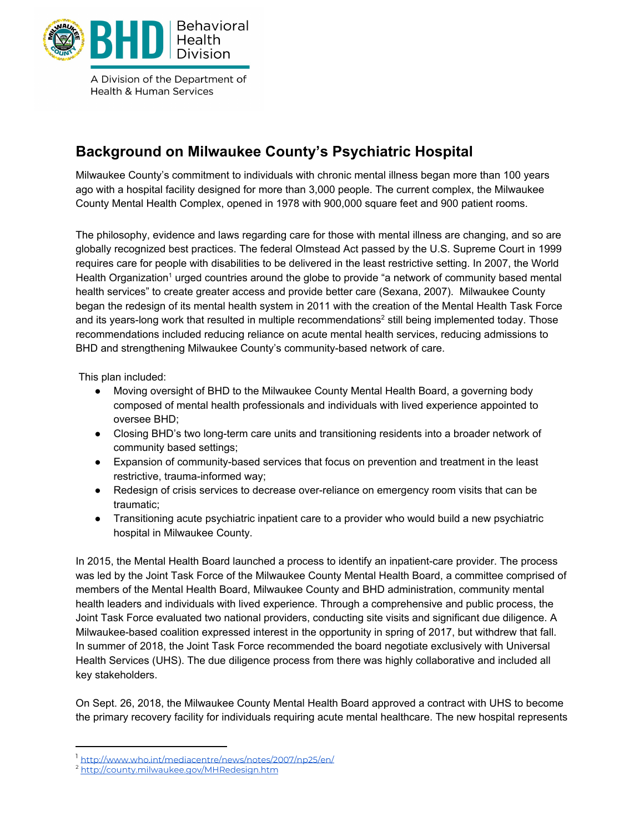

A Division of the Department of **Health & Human Services** 

## **Background on Milwaukee County's Psychiatric Hospital**

Milwaukee County's commitment to individuals with chronic mental illness began more than 100 years ago with a hospital facility designed for more than 3,000 people. The current complex, the Milwaukee County Mental Health Complex, opened in 1978 with 900,000 square feet and 900 patient rooms.

The philosophy, evidence and laws regarding care for those with mental illness are changing, and so are globally recognized best practices. The federal Olmstead Act passed by the U.S. Supreme Court in 1999 requires care for people with disabilities to be delivered in the least restrictive setting. In 2007, the World Health Organization<sup>1</sup> urged countries around the globe to provide "a network of community based mental health services" to create greater access and provide better care (Sexana, 2007). Milwaukee County began the redesign of its mental health system in 2011 with the creation of the Mental Health Task Force and its years-long work that resulted in multiple recommendations<sup>2</sup> still being implemented today. Those recommendations included reducing reliance on acute mental health services, reducing admissions to BHD and strengthening Milwaukee County's community-based network of care.

This plan included:

- Moving oversight of BHD to the Milwaukee County Mental Health Board, a governing body composed of mental health professionals and individuals with lived experience appointed to oversee BHD;
- Closing BHD's two long-term care units and transitioning residents into a broader network of community based settings;
- Expansion of community-based services that focus on prevention and treatment in the least restrictive, trauma-informed way;
- Redesign of crisis services to decrease over-reliance on emergency room visits that can be traumatic;
- Transitioning acute psychiatric inpatient care to a provider who would build a new psychiatric hospital in Milwaukee County.

In 2015, the Mental Health Board launched a process to identify an inpatient-care provider. The process was led by the Joint Task Force of the Milwaukee County Mental Health Board, a committee comprised of members of the Mental Health Board, Milwaukee County and BHD administration, community mental health leaders and individuals with lived experience. Through a comprehensive and public process, the Joint Task Force evaluated two national providers, conducting site visits and significant due diligence. A Milwaukee-based coalition expressed interest in the opportunity in spring of 2017, but withdrew that fall. In summer of 2018, the Joint Task Force recommended the board negotiate exclusively with Universal Health Services (UHS). The due diligence process from there was highly collaborative and included all key stakeholders.

On Sept. 26, 2018, the Milwaukee County Mental Health Board approved a contract with UHS to become the primary recovery facility for individuals requiring acute mental healthcare. The new hospital represents

<sup>&</sup>lt;sup>1</sup> <http://www.who.int/mediacentre/news/notes/2007/np25/en/>

<sup>2</sup> <http://county.milwaukee.gov/MHRedesign.htm>